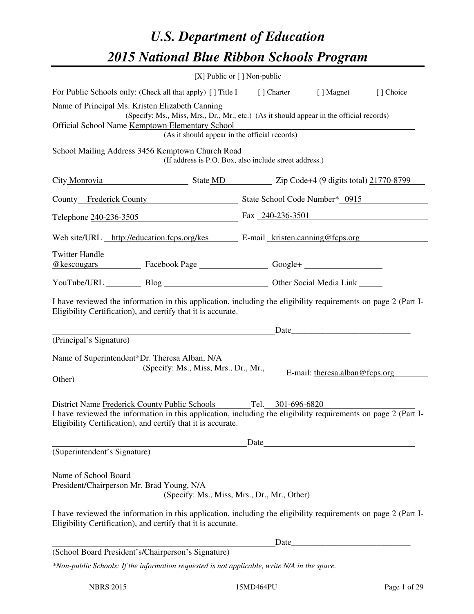# *U.S. Department of Education 2015 National Blue Ribbon Schools Program*

|                                                                                                                                                                                                                                                                        | [X] Public or [] Non-public                            |  |  |                                                                                                                                                                                                                               |  |  |
|------------------------------------------------------------------------------------------------------------------------------------------------------------------------------------------------------------------------------------------------------------------------|--------------------------------------------------------|--|--|-------------------------------------------------------------------------------------------------------------------------------------------------------------------------------------------------------------------------------|--|--|
| For Public Schools only: (Check all that apply) [ ] Title I [ ] Charter [ ] Magnet [ ] Choice                                                                                                                                                                          |                                                        |  |  |                                                                                                                                                                                                                               |  |  |
| Name of Principal Ms. Kristen Elizabeth Canning<br>(Specify: Ms., Miss, Mrs., Dr., Mr., etc.) (As it should appear in the official records)<br>Official School Name Kemptown Elementary School<br>n Elementary School<br>(As it should appear in the official records) |                                                        |  |  |                                                                                                                                                                                                                               |  |  |
| School Mailing Address 3456 Kemptown Church Road                                                                                                                                                                                                                       | (If address is P.O. Box, also include street address.) |  |  |                                                                                                                                                                                                                               |  |  |
| City Monrovia State MD Zip Code+4 (9 digits total) 21770-8799                                                                                                                                                                                                          |                                                        |  |  |                                                                                                                                                                                                                               |  |  |
| County Frederick County State School Code Number* 0915                                                                                                                                                                                                                 |                                                        |  |  |                                                                                                                                                                                                                               |  |  |
| Telephone 240-236-3505 Fax 240-236-3501                                                                                                                                                                                                                                |                                                        |  |  |                                                                                                                                                                                                                               |  |  |
| Web site/URL http://education.fcps.org/kes E-mail kristen.canning@fcps.org                                                                                                                                                                                             |                                                        |  |  |                                                                                                                                                                                                                               |  |  |
| <b>Twitter Handle</b><br>@kescougars Facebook Page Google+                                                                                                                                                                                                             |                                                        |  |  |                                                                                                                                                                                                                               |  |  |
| YouTube/URL Blog Blog Discount Cher Social Media Link                                                                                                                                                                                                                  |                                                        |  |  |                                                                                                                                                                                                                               |  |  |
| I have reviewed the information in this application, including the eligibility requirements on page 2 (Part I-<br>Eligibility Certification), and certify that it is accurate.                                                                                         |                                                        |  |  |                                                                                                                                                                                                                               |  |  |
| (Principal's Signature)                                                                                                                                                                                                                                                |                                                        |  |  | Date experience and the set of the set of the set of the set of the set of the set of the set of the set of the set of the set of the set of the set of the set of the set of the set of the set of the set of the set of the |  |  |
| Name of Superintendent*Dr. Theresa Alban, N/A<br>Other)                                                                                                                                                                                                                | (Specify: Ms., Miss, Mrs., Dr., Mr.,                   |  |  | E-mail: theresa.alban@fcps.org                                                                                                                                                                                                |  |  |
| District Name Frederick County Public Schools Tel. 301-696-6820<br>I have reviewed the information in this application, including the eligibility requirements on page 2 (Part I-<br>Eligibility Certification), and certify that it is accurate.                      |                                                        |  |  |                                                                                                                                                                                                                               |  |  |
| (Superintendent's Signature)                                                                                                                                                                                                                                           |                                                        |  |  | Date and the set of the set of the set of the set of the set of the set of the set of the set of the set of the set of the set of the set of the set of the set of the set of the set of the set of the set of the set of the |  |  |
| Name of School Board<br>President/Chairperson Mr. Brad Young, N/A<br>I have reviewed the information in this application, including the eligibility requirements on page 2 (Part I-<br>Eligibility Certification), and certify that it is accurate.                    | (Specify: Ms., Miss, Mrs., Dr., Mr., Other)            |  |  |                                                                                                                                                                                                                               |  |  |
|                                                                                                                                                                                                                                                                        |                                                        |  |  |                                                                                                                                                                                                                               |  |  |
| (School Board President's/Chairperson's Signature)                                                                                                                                                                                                                     |                                                        |  |  |                                                                                                                                                                                                                               |  |  |

*\*Non-public Schools: If the information requested is not applicable, write N/A in the space.*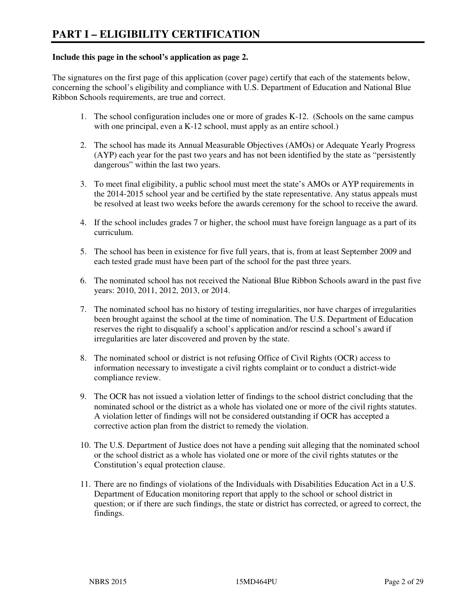#### **Include this page in the school's application as page 2.**

The signatures on the first page of this application (cover page) certify that each of the statements below, concerning the school's eligibility and compliance with U.S. Department of Education and National Blue Ribbon Schools requirements, are true and correct.

- 1. The school configuration includes one or more of grades K-12. (Schools on the same campus with one principal, even a K-12 school, must apply as an entire school.)
- 2. The school has made its Annual Measurable Objectives (AMOs) or Adequate Yearly Progress (AYP) each year for the past two years and has not been identified by the state as "persistently dangerous" within the last two years.
- 3. To meet final eligibility, a public school must meet the state's AMOs or AYP requirements in the 2014-2015 school year and be certified by the state representative. Any status appeals must be resolved at least two weeks before the awards ceremony for the school to receive the award.
- 4. If the school includes grades 7 or higher, the school must have foreign language as a part of its curriculum.
- 5. The school has been in existence for five full years, that is, from at least September 2009 and each tested grade must have been part of the school for the past three years.
- 6. The nominated school has not received the National Blue Ribbon Schools award in the past five years: 2010, 2011, 2012, 2013, or 2014.
- 7. The nominated school has no history of testing irregularities, nor have charges of irregularities been brought against the school at the time of nomination. The U.S. Department of Education reserves the right to disqualify a school's application and/or rescind a school's award if irregularities are later discovered and proven by the state.
- 8. The nominated school or district is not refusing Office of Civil Rights (OCR) access to information necessary to investigate a civil rights complaint or to conduct a district-wide compliance review.
- 9. The OCR has not issued a violation letter of findings to the school district concluding that the nominated school or the district as a whole has violated one or more of the civil rights statutes. A violation letter of findings will not be considered outstanding if OCR has accepted a corrective action plan from the district to remedy the violation.
- 10. The U.S. Department of Justice does not have a pending suit alleging that the nominated school or the school district as a whole has violated one or more of the civil rights statutes or the Constitution's equal protection clause.
- 11. There are no findings of violations of the Individuals with Disabilities Education Act in a U.S. Department of Education monitoring report that apply to the school or school district in question; or if there are such findings, the state or district has corrected, or agreed to correct, the findings.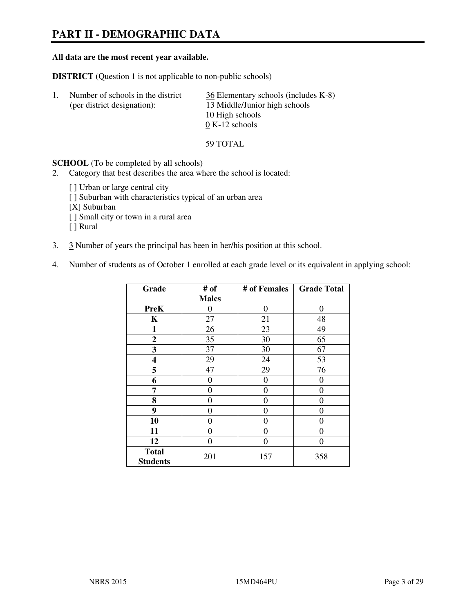# **PART II - DEMOGRAPHIC DATA**

#### **All data are the most recent year available.**

**DISTRICT** (Question 1 is not applicable to non-public schools)

| Number of schools in the district<br>(per district designation): | 36 Elementary schools (includes K-8)<br>13 Middle/Junior high schools<br>10 High schools |
|------------------------------------------------------------------|------------------------------------------------------------------------------------------|
|                                                                  | $0 K-12$ schools                                                                         |
|                                                                  |                                                                                          |

59 TOTAL

**SCHOOL** (To be completed by all schools)

- 2. Category that best describes the area where the school is located:
	- [ ] Urban or large central city
	- [ ] Suburban with characteristics typical of an urban area
	- [X] Suburban
	- [ ] Small city or town in a rural area
	- [ ] Rural
- 3. 3 Number of years the principal has been in her/his position at this school.
- 4. Number of students as of October 1 enrolled at each grade level or its equivalent in applying school:

| Grade                           | # of         | # of Females     | <b>Grade Total</b> |
|---------------------------------|--------------|------------------|--------------------|
|                                 | <b>Males</b> |                  |                    |
| <b>PreK</b>                     | $\theta$     | $\boldsymbol{0}$ | 0                  |
| K                               | 27           | 21               | 48                 |
| 1                               | 26           | 23               | 49                 |
| $\boldsymbol{2}$                | 35           | 30               | 65                 |
| 3                               | 37           | 30               | 67                 |
| 4                               | 29           | 24               | 53                 |
| 5                               | 47           | 29               | 76                 |
| 6                               | 0            | $\theta$         | 0                  |
| 7                               | 0            | $\theta$         | 0                  |
| 8                               | 0            | 0                | 0                  |
| 9                               | 0            | 0                | 0                  |
| 10                              | 0            | 0                | 0                  |
| 11                              | 0            | 0                | 0                  |
| 12                              | 0            | 0                | 0                  |
| <b>Total</b><br><b>Students</b> | 201          | 157              | 358                |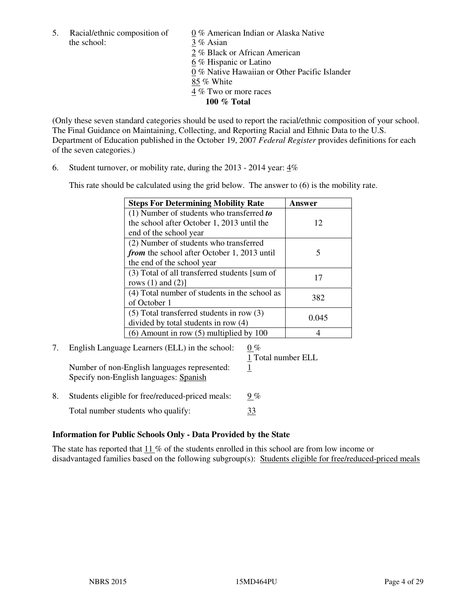5. Racial/ethnic composition of  $0\%$  American Indian or Alaska Native the school: 3 % Asian

 2 % Black or African American 6 % Hispanic or Latino 0 % Native Hawaiian or Other Pacific Islander 85 % White 4 % Two or more races **100 % Total** 

(Only these seven standard categories should be used to report the racial/ethnic composition of your school. The Final Guidance on Maintaining, Collecting, and Reporting Racial and Ethnic Data to the U.S. Department of Education published in the October 19, 2007 *Federal Register* provides definitions for each of the seven categories.)

6. Student turnover, or mobility rate, during the 2013 - 2014 year: 4%

This rate should be calculated using the grid below. The answer to (6) is the mobility rate.

| <b>Steps For Determining Mobility Rate</b>    | Answer |
|-----------------------------------------------|--------|
| $(1)$ Number of students who transferred to   |        |
| the school after October 1, 2013 until the    | 12     |
| end of the school year                        |        |
| (2) Number of students who transferred        |        |
| from the school after October 1, 2013 until   | 5      |
| the end of the school year                    |        |
| (3) Total of all transferred students [sum of | 17     |
| rows $(1)$ and $(2)$ ]                        |        |
| (4) Total number of students in the school as | 382    |
| of October 1                                  |        |
| $(5)$ Total transferred students in row $(3)$ |        |
| divided by total students in row (4)          | 0.045  |
| $(6)$ Amount in row $(5)$ multiplied by 100   |        |

# 7. English Language Learners (ELL) in the school:  $0\%$

Number of non-English languages represented: 1 Specify non-English languages: Spanish

1 Total number ELL

8. Students eligible for free/reduced-priced meals:  $9\%$ Total number students who qualify:  $\frac{33}{2}$ 

#### **Information for Public Schools Only - Data Provided by the State**

The state has reported that  $11\%$  of the students enrolled in this school are from low income or disadvantaged families based on the following subgroup(s): Students eligible for free/reduced-priced meals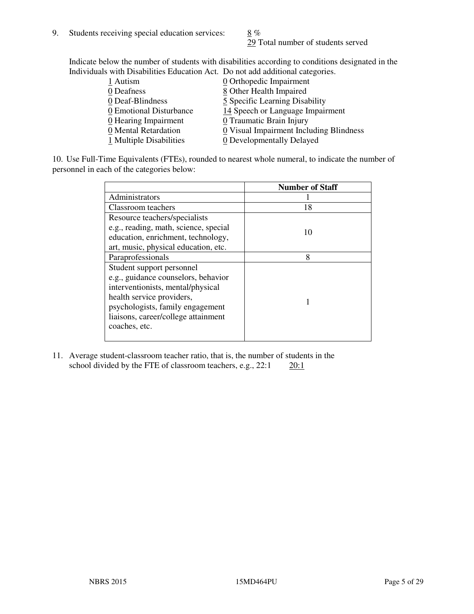29 Total number of students served

Indicate below the number of students with disabilities according to conditions designated in the Individuals with Disabilities Education Act. Do not add additional categories.

| 1 Autism                           | $Q$ Orthopedic Impairment               |
|------------------------------------|-----------------------------------------|
| 0 Deafness                         | 8 Other Health Impaired                 |
| 0 Deaf-Blindness                   | 5 Specific Learning Disability          |
| 0 Emotional Disturbance            | 14 Speech or Language Impairment        |
| $\underline{0}$ Hearing Impairment | 0 Traumatic Brain Injury                |
| 0 Mental Retardation               | 0 Visual Impairment Including Blindness |
| 1 Multiple Disabilities            | 0 Developmentally Delayed               |
|                                    |                                         |

10. Use Full-Time Equivalents (FTEs), rounded to nearest whole numeral, to indicate the number of personnel in each of the categories below:

|                                       | <b>Number of Staff</b> |
|---------------------------------------|------------------------|
| Administrators                        |                        |
| Classroom teachers                    | 18                     |
| Resource teachers/specialists         |                        |
| e.g., reading, math, science, special | 10                     |
| education, enrichment, technology,    |                        |
| art, music, physical education, etc.  |                        |
| Paraprofessionals                     | 8                      |
| Student support personnel             |                        |
| e.g., guidance counselors, behavior   |                        |
| interventionists, mental/physical     |                        |
| health service providers,             |                        |
| psychologists, family engagement      |                        |
| liaisons, career/college attainment   |                        |
| coaches, etc.                         |                        |
|                                       |                        |

11. Average student-classroom teacher ratio, that is, the number of students in the school divided by the FTE of classroom teachers, e.g.,  $22:1$   $20:1$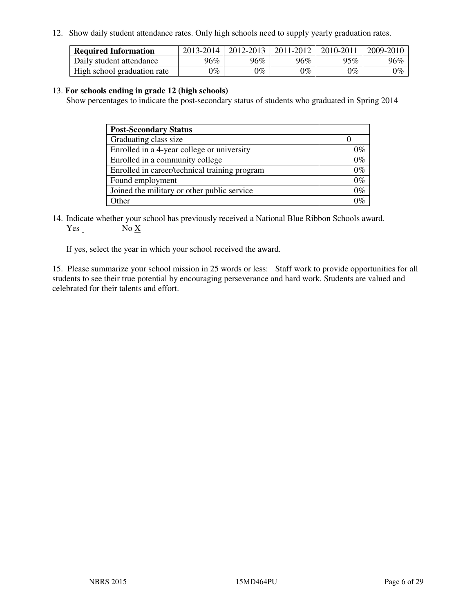12. Show daily student attendance rates. Only high schools need to supply yearly graduation rates.

| <b>Required Information</b> | 2013-2014     | 2012-2013       | 2011-2012 | 2010-2011 | 2009-2010 |
|-----------------------------|---------------|-----------------|-----------|-----------|-----------|
| Daily student attendance    | 96%           | $96\%$          | 96%       | 95%       | 96%       |
| High school graduation rate | $\gamma_{\%}$ | $\mathcal{V}_o$ | $0\%$     | 0%        | 0%        |

#### 13. **For schools ending in grade 12 (high schools)**

Show percentages to indicate the post-secondary status of students who graduated in Spring 2014

| <b>Post-Secondary Status</b>                  |       |
|-----------------------------------------------|-------|
| Graduating class size                         |       |
| Enrolled in a 4-year college or university    | በ‰    |
| Enrolled in a community college               | $0\%$ |
| Enrolled in career/technical training program | $0\%$ |
| Found employment                              | $0\%$ |
| Joined the military or other public service   | 0%    |
| Other                                         |       |

14. Indicate whether your school has previously received a National Blue Ribbon Schools award. Yes No X

If yes, select the year in which your school received the award.

15. Please summarize your school mission in 25 words or less: Staff work to provide opportunities for all students to see their true potential by encouraging perseverance and hard work. Students are valued and celebrated for their talents and effort.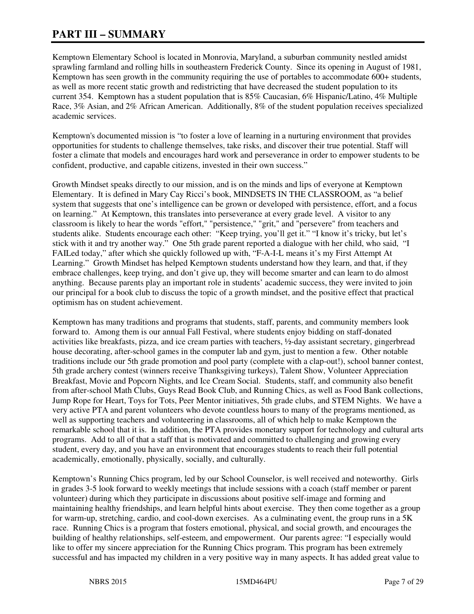# **PART III – SUMMARY**

Kemptown Elementary School is located in Monrovia, Maryland, a suburban community nestled amidst sprawling farmland and rolling hills in southeastern Frederick County. Since its opening in August of 1981, Kemptown has seen growth in the community requiring the use of portables to accommodate 600+ students, as well as more recent static growth and redistricting that have decreased the student population to its current 354. Kemptown has a student population that is 85% Caucasian, 6% Hispanic/Latino, 4% Multiple Race, 3% Asian, and 2% African American. Additionally, 8% of the student population receives specialized academic services.

Kemptown's documented mission is "to foster a love of learning in a nurturing environment that provides opportunities for students to challenge themselves, take risks, and discover their true potential. Staff will foster a climate that models and encourages hard work and perseverance in order to empower students to be confident, productive, and capable citizens, invested in their own success."

Growth Mindset speaks directly to our mission, and is on the minds and lips of everyone at Kemptown Elementary. It is defined in Mary Cay Ricci's book, MINDSETS IN THE CLASSROOM, as "a belief system that suggests that one's intelligence can be grown or developed with persistence, effort, and a focus on learning." At Kemptown, this translates into perseverance at every grade level. A visitor to any classroom is likely to hear the words "effort," "persistence," "grit," and "persevere" from teachers and students alike. Students encourage each other: "Keep trying, you'll get it." "I know it's tricky, but let's stick with it and try another way." One 5th grade parent reported a dialogue with her child, who said, "I FAILed today," after which she quickly followed up with, "F-A-I-L means it's my First Attempt At Learning." Growth Mindset has helped Kemptown students understand how they learn, and that, if they embrace challenges, keep trying, and don't give up, they will become smarter and can learn to do almost anything. Because parents play an important role in students' academic success, they were invited to join our principal for a book club to discuss the topic of a growth mindset, and the positive effect that practical optimism has on student achievement.

Kemptown has many traditions and programs that students, staff, parents, and community members look forward to. Among them is our annual Fall Festival, where students enjoy bidding on staff-donated activities like breakfasts, pizza, and ice cream parties with teachers, ½-day assistant secretary, gingerbread house decorating, after-school games in the computer lab and gym, just to mention a few. Other notable traditions include our 5th grade promotion and pool party (complete with a clap-out!), school banner contest, 5th grade archery contest (winners receive Thanksgiving turkeys), Talent Show, Volunteer Appreciation Breakfast, Movie and Popcorn Nights, and Ice Cream Social. Students, staff, and community also benefit from after-school Math Clubs, Guys Read Book Club, and Running Chics, as well as Food Bank collections, Jump Rope for Heart, Toys for Tots, Peer Mentor initiatives, 5th grade clubs, and STEM Nights. We have a very active PTA and parent volunteers who devote countless hours to many of the programs mentioned, as well as supporting teachers and volunteering in classrooms, all of which help to make Kemptown the remarkable school that it is. In addition, the PTA provides monetary support for technology and cultural arts programs. Add to all of that a staff that is motivated and committed to challenging and growing every student, every day, and you have an environment that encourages students to reach their full potential academically, emotionally, physically, socially, and culturally.

Kemptown's Running Chics program, led by our School Counselor, is well received and noteworthy. Girls in grades 3-5 look forward to weekly meetings that include sessions with a coach (staff member or parent volunteer) during which they participate in discussions about positive self-image and forming and maintaining healthy friendships, and learn helpful hints about exercise. They then come together as a group for warm-up, stretching, cardio, and cool-down exercises. As a culminating event, the group runs in a 5K race. Running Chics is a program that fosters emotional, physical, and social growth, and encourages the building of healthy relationships, self-esteem, and empowerment. Our parents agree: "I especially would like to offer my sincere appreciation for the Running Chics program. This program has been extremely successful and has impacted my children in a very positive way in many aspects. It has added great value to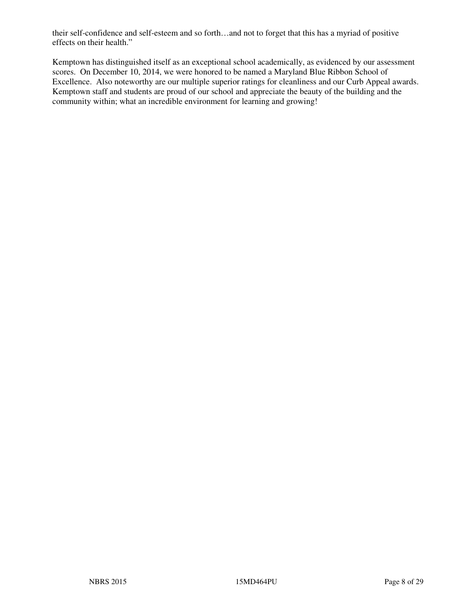their self-confidence and self-esteem and so forth…and not to forget that this has a myriad of positive effects on their health."

Kemptown has distinguished itself as an exceptional school academically, as evidenced by our assessment scores. On December 10, 2014, we were honored to be named a Maryland Blue Ribbon School of Excellence. Also noteworthy are our multiple superior ratings for cleanliness and our Curb Appeal awards. Kemptown staff and students are proud of our school and appreciate the beauty of the building and the community within; what an incredible environment for learning and growing!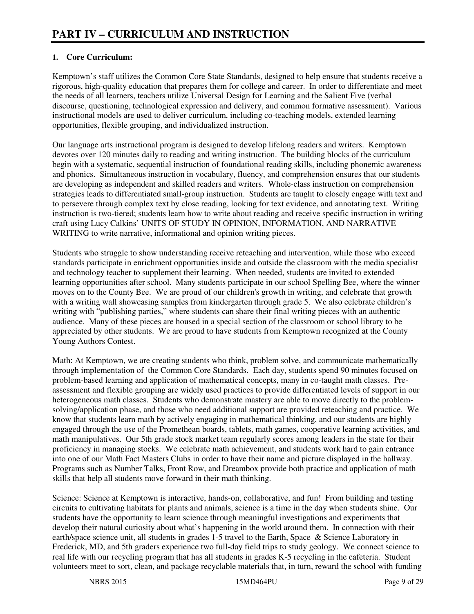## **1. Core Curriculum:**

Kemptown's staff utilizes the Common Core State Standards, designed to help ensure that students receive a rigorous, high-quality education that prepares them for college and career. In order to differentiate and meet the needs of all learners, teachers utilize Universal Design for Learning and the Salient Five (verbal discourse, questioning, technological expression and delivery, and common formative assessment). Various instructional models are used to deliver curriculum, including co-teaching models, extended learning opportunities, flexible grouping, and individualized instruction.

Our language arts instructional program is designed to develop lifelong readers and writers. Kemptown devotes over 120 minutes daily to reading and writing instruction. The building blocks of the curriculum begin with a systematic, sequential instruction of foundational reading skills, including phonemic awareness and phonics. Simultaneous instruction in vocabulary, fluency, and comprehension ensures that our students are developing as independent and skilled readers and writers. Whole-class instruction on comprehension strategies leads to differentiated small-group instruction. Students are taught to closely engage with text and to persevere through complex text by close reading, looking for text evidence, and annotating text. Writing instruction is two-tiered; students learn how to write about reading and receive specific instruction in writing craft using Lucy Calkins' UNITS OF STUDY IN OPINION, INFORMATION, AND NARRATIVE WRITING to write narrative, informational and opinion writing pieces.

Students who struggle to show understanding receive reteaching and intervention, while those who exceed standards participate in enrichment opportunities inside and outside the classroom with the media specialist and technology teacher to supplement their learning. When needed, students are invited to extended learning opportunities after school. Many students participate in our school Spelling Bee, where the winner moves on to the County Bee. We are proud of our children's growth in writing, and celebrate that growth with a writing wall showcasing samples from kindergarten through grade 5. We also celebrate children's writing with "publishing parties," where students can share their final writing pieces with an authentic audience. Many of these pieces are housed in a special section of the classroom or school library to be appreciated by other students. We are proud to have students from Kemptown recognized at the County Young Authors Contest.

Math: At Kemptown, we are creating students who think, problem solve, and communicate mathematically through implementation of the Common Core Standards. Each day, students spend 90 minutes focused on problem-based learning and application of mathematical concepts, many in co-taught math classes. Preassessment and flexible grouping are widely used practices to provide differentiated levels of support in our heterogeneous math classes. Students who demonstrate mastery are able to move directly to the problemsolving/application phase, and those who need additional support are provided reteaching and practice. We know that students learn math by actively engaging in mathematical thinking, and our students are highly engaged through the use of the Promethean boards, tablets, math games, cooperative learning activities, and math manipulatives. Our 5th grade stock market team regularly scores among leaders in the state for their proficiency in managing stocks. We celebrate math achievement, and students work hard to gain entrance into one of our Math Fact Masters Clubs in order to have their name and picture displayed in the hallway. Programs such as Number Talks, Front Row, and Dreambox provide both practice and application of math skills that help all students move forward in their math thinking.

Science: Science at Kemptown is interactive, hands-on, collaborative, and fun! From building and testing circuits to cultivating habitats for plants and animals, science is a time in the day when students shine. Our students have the opportunity to learn science through meaningful investigations and experiments that develop their natural curiosity about what's happening in the world around them. In connection with their earth/space science unit, all students in grades 1-5 travel to the Earth, Space & Science Laboratory in Frederick, MD, and 5th graders experience two full-day field trips to study geology. We connect science to real life with our recycling program that has all students in grades K-5 recycling in the cafeteria. Student volunteers meet to sort, clean, and package recyclable materials that, in turn, reward the school with funding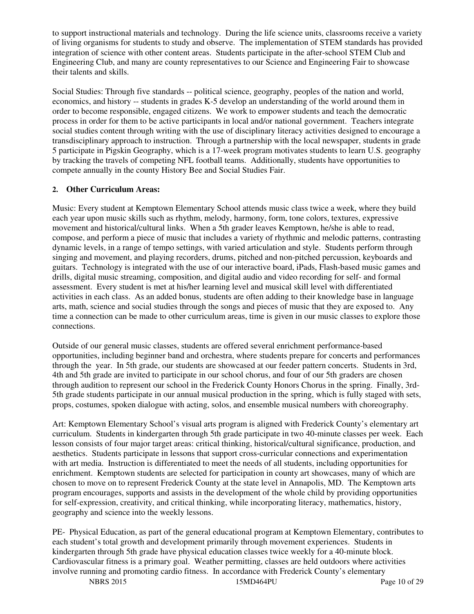to support instructional materials and technology. During the life science units, classrooms receive a variety of living organisms for students to study and observe. The implementation of STEM standards has provided integration of science with other content areas. Students participate in the after-school STEM Club and Engineering Club, and many are county representatives to our Science and Engineering Fair to showcase their talents and skills.

Social Studies: Through five standards -- political science, geography, peoples of the nation and world, economics, and history -- students in grades K-5 develop an understanding of the world around them in order to become responsible, engaged citizens. We work to empower students and teach the democratic process in order for them to be active participants in local and/or national government. Teachers integrate social studies content through writing with the use of disciplinary literacy activities designed to encourage a transdisciplinary approach to instruction. Through a partnership with the local newspaper, students in grade 5 participate in Pigskin Geography, which is a 17-week program motivates students to learn U.S. geography by tracking the travels of competing NFL football teams. Additionally, students have opportunities to compete annually in the county History Bee and Social Studies Fair.

## **2. Other Curriculum Areas:**

Music: Every student at Kemptown Elementary School attends music class twice a week, where they build each year upon music skills such as rhythm, melody, harmony, form, tone colors, textures, expressive movement and historical/cultural links. When a 5th grader leaves Kemptown, he/she is able to read, compose, and perform a piece of music that includes a variety of rhythmic and melodic patterns, contrasting dynamic levels, in a range of tempo settings, with varied articulation and style. Students perform through singing and movement, and playing recorders, drums, pitched and non-pitched percussion, keyboards and guitars. Technology is integrated with the use of our interactive board, iPads, Flash-based music games and drills, digital music streaming, composition, and digital audio and video recording for self- and formal assessment. Every student is met at his/her learning level and musical skill level with differentiated activities in each class. As an added bonus, students are often adding to their knowledge base in language arts, math, science and social studies through the songs and pieces of music that they are exposed to. Any time a connection can be made to other curriculum areas, time is given in our music classes to explore those connections.

Outside of our general music classes, students are offered several enrichment performance-based opportunities, including beginner band and orchestra, where students prepare for concerts and performances through the year. In 5th grade, our students are showcased at our feeder pattern concerts. Students in 3rd, 4th and 5th grade are invited to participate in our school chorus, and four of our 5th graders are chosen through audition to represent our school in the Frederick County Honors Chorus in the spring. Finally, 3rd-5th grade students participate in our annual musical production in the spring, which is fully staged with sets, props, costumes, spoken dialogue with acting, solos, and ensemble musical numbers with choreography.

Art: Kemptown Elementary School's visual arts program is aligned with Frederick County's elementary art curriculum. Students in kindergarten through 5th grade participate in two 40-minute classes per week. Each lesson consists of four major target areas: critical thinking, historical/cultural significance, production, and aesthetics. Students participate in lessons that support cross-curricular connections and experimentation with art media. Instruction is differentiated to meet the needs of all students, including opportunities for enrichment. Kemptown students are selected for participation in county art showcases, many of which are chosen to move on to represent Frederick County at the state level in Annapolis, MD. The Kemptown arts program encourages, supports and assists in the development of the whole child by providing opportunities for self-expression, creativity, and critical thinking, while incorporating literacy, mathematics, history, geography and science into the weekly lessons.

PE- Physical Education, as part of the general educational program at Kemptown Elementary, contributes to each student's total growth and development primarily through movement experiences. Students in kindergarten through 5th grade have physical education classes twice weekly for a 40-minute block. Cardiovascular fitness is a primary goal. Weather permitting, classes are held outdoors where activities involve running and promoting cardio fitness. In accordance with Frederick County's elementary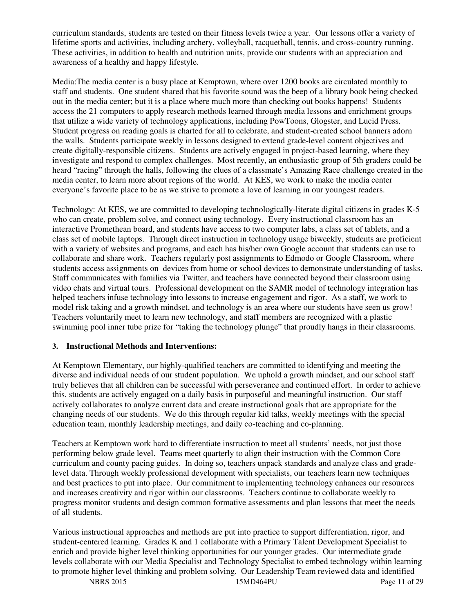curriculum standards, students are tested on their fitness levels twice a year. Our lessons offer a variety of lifetime sports and activities, including archery, volleyball, racquetball, tennis, and cross-country running. These activities, in addition to health and nutrition units, provide our students with an appreciation and awareness of a healthy and happy lifestyle.

Media:The media center is a busy place at Kemptown, where over 1200 books are circulated monthly to staff and students. One student shared that his favorite sound was the beep of a library book being checked out in the media center; but it is a place where much more than checking out books happens! Students access the 21 computers to apply research methods learned through media lessons and enrichment groups that utilize a wide variety of technology applications, including PowToons, Glogster, and Lucid Press. Student progress on reading goals is charted for all to celebrate, and student-created school banners adorn the walls. Students participate weekly in lessons designed to extend grade-level content objectives and create digitally-responsible citizens. Students are actively engaged in project-based learning, where they investigate and respond to complex challenges. Most recently, an enthusiastic group of 5th graders could be heard "racing" through the halls, following the clues of a classmate's Amazing Race challenge created in the media center, to learn more about regions of the world. At KES, we work to make the media center everyone's favorite place to be as we strive to promote a love of learning in our youngest readers.

Technology: At KES, we are committed to developing technologically-literate digital citizens in grades K-5 who can create, problem solve, and connect using technology. Every instructional classroom has an interactive Promethean board, and students have access to two computer labs, a class set of tablets, and a class set of mobile laptops. Through direct instruction in technology usage biweekly, students are proficient with a variety of websites and programs, and each has his/her own Google account that students can use to collaborate and share work. Teachers regularly post assignments to Edmodo or Google Classroom, where students access assignments on devices from home or school devices to demonstrate understanding of tasks. Staff communicates with families via Twitter, and teachers have connected beyond their classroom using video chats and virtual tours. Professional development on the SAMR model of technology integration has helped teachers infuse technology into lessons to increase engagement and rigor. As a staff, we work to model risk taking and a growth mindset, and technology is an area where our students have seen us grow! Teachers voluntarily meet to learn new technology, and staff members are recognized with a plastic swimming pool inner tube prize for "taking the technology plunge" that proudly hangs in their classrooms.

#### **3. Instructional Methods and Interventions:**

At Kemptown Elementary, our highly-qualified teachers are committed to identifying and meeting the diverse and individual needs of our student population. We uphold a growth mindset, and our school staff truly believes that all children can be successful with perseverance and continued effort. In order to achieve this, students are actively engaged on a daily basis in purposeful and meaningful instruction. Our staff actively collaborates to analyze current data and create instructional goals that are appropriate for the changing needs of our students. We do this through regular kid talks, weekly meetings with the special education team, monthly leadership meetings, and daily co-teaching and co-planning.

Teachers at Kemptown work hard to differentiate instruction to meet all students' needs, not just those performing below grade level. Teams meet quarterly to align their instruction with the Common Core curriculum and county pacing guides. In doing so, teachers unpack standards and analyze class and gradelevel data. Through weekly professional development with specialists, our teachers learn new techniques and best practices to put into place. Our commitment to implementing technology enhances our resources and increases creativity and rigor within our classrooms. Teachers continue to collaborate weekly to progress monitor students and design common formative assessments and plan lessons that meet the needs of all students.

Various instructional approaches and methods are put into practice to support differentiation, rigor, and student-centered learning. Grades K and 1 collaborate with a Primary Talent Development Specialist to enrich and provide higher level thinking opportunities for our younger grades. Our intermediate grade levels collaborate with our Media Specialist and Technology Specialist to embed technology within learning to promote higher level thinking and problem solving. Our Leadership Team reviewed data and identified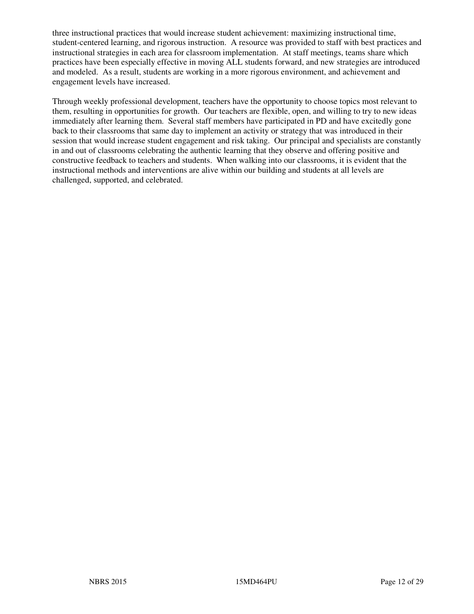three instructional practices that would increase student achievement: maximizing instructional time, student-centered learning, and rigorous instruction. A resource was provided to staff with best practices and instructional strategies in each area for classroom implementation. At staff meetings, teams share which practices have been especially effective in moving ALL students forward, and new strategies are introduced and modeled. As a result, students are working in a more rigorous environment, and achievement and engagement levels have increased.

Through weekly professional development, teachers have the opportunity to choose topics most relevant to them, resulting in opportunities for growth. Our teachers are flexible, open, and willing to try to new ideas immediately after learning them. Several staff members have participated in PD and have excitedly gone back to their classrooms that same day to implement an activity or strategy that was introduced in their session that would increase student engagement and risk taking. Our principal and specialists are constantly in and out of classrooms celebrating the authentic learning that they observe and offering positive and constructive feedback to teachers and students. When walking into our classrooms, it is evident that the instructional methods and interventions are alive within our building and students at all levels are challenged, supported, and celebrated.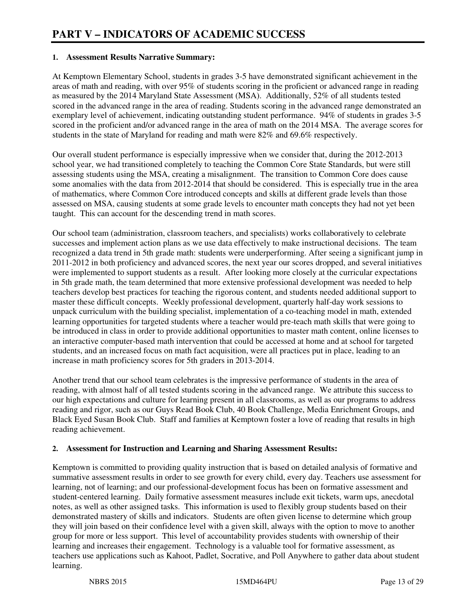#### **1. Assessment Results Narrative Summary:**

At Kemptown Elementary School, students in grades 3-5 have demonstrated significant achievement in the areas of math and reading, with over 95% of students scoring in the proficient or advanced range in reading as measured by the 2014 Maryland State Assessment (MSA). Additionally, 52% of all students tested scored in the advanced range in the area of reading. Students scoring in the advanced range demonstrated an exemplary level of achievement, indicating outstanding student performance. 94% of students in grades 3-5 scored in the proficient and/or advanced range in the area of math on the 2014 MSA. The average scores for students in the state of Maryland for reading and math were 82% and 69.6% respectively.

Our overall student performance is especially impressive when we consider that, during the 2012-2013 school year, we had transitioned completely to teaching the Common Core State Standards, but were still assessing students using the MSA, creating a misalignment. The transition to Common Core does cause some anomalies with the data from 2012-2014 that should be considered. This is especially true in the area of mathematics, where Common Core introduced concepts and skills at different grade levels than those assessed on MSA, causing students at some grade levels to encounter math concepts they had not yet been taught. This can account for the descending trend in math scores.

Our school team (administration, classroom teachers, and specialists) works collaboratively to celebrate successes and implement action plans as we use data effectively to make instructional decisions. The team recognized a data trend in 5th grade math: students were underperforming. After seeing a significant jump in 2011-2012 in both proficiency and advanced scores, the next year our scores dropped, and several initiatives were implemented to support students as a result. After looking more closely at the curricular expectations in 5th grade math, the team determined that more extensive professional development was needed to help teachers develop best practices for teaching the rigorous content, and students needed additional support to master these difficult concepts. Weekly professional development, quarterly half-day work sessions to unpack curriculum with the building specialist, implementation of a co-teaching model in math, extended learning opportunities for targeted students where a teacher would pre-teach math skills that were going to be introduced in class in order to provide additional opportunities to master math content, online licenses to an interactive computer-based math intervention that could be accessed at home and at school for targeted students, and an increased focus on math fact acquisition, were all practices put in place, leading to an increase in math proficiency scores for 5th graders in 2013-2014.

Another trend that our school team celebrates is the impressive performance of students in the area of reading, with almost half of all tested students scoring in the advanced range. We attribute this success to our high expectations and culture for learning present in all classrooms, as well as our programs to address reading and rigor, such as our Guys Read Book Club, 40 Book Challenge, Media Enrichment Groups, and Black Eyed Susan Book Club. Staff and families at Kemptown foster a love of reading that results in high reading achievement.

## **2. Assessment for Instruction and Learning and Sharing Assessment Results:**

Kemptown is committed to providing quality instruction that is based on detailed analysis of formative and summative assessment results in order to see growth for every child, every day. Teachers use assessment for learning, not of learning; and our professional-development focus has been on formative assessment and student-centered learning. Daily formative assessment measures include exit tickets, warm ups, anecdotal notes, as well as other assigned tasks. This information is used to flexibly group students based on their demonstrated mastery of skills and indicators. Students are often given license to determine which group they will join based on their confidence level with a given skill, always with the option to move to another group for more or less support. This level of accountability provides students with ownership of their learning and increases their engagement. Technology is a valuable tool for formative assessment, as teachers use applications such as Kahoot, Padlet, Socrative, and Poll Anywhere to gather data about student learning.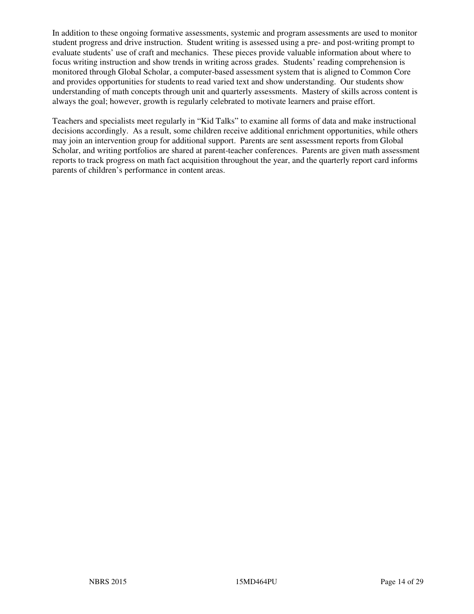In addition to these ongoing formative assessments, systemic and program assessments are used to monitor student progress and drive instruction. Student writing is assessed using a pre- and post-writing prompt to evaluate students' use of craft and mechanics. These pieces provide valuable information about where to focus writing instruction and show trends in writing across grades. Students' reading comprehension is monitored through Global Scholar, a computer-based assessment system that is aligned to Common Core and provides opportunities for students to read varied text and show understanding. Our students show understanding of math concepts through unit and quarterly assessments. Mastery of skills across content is always the goal; however, growth is regularly celebrated to motivate learners and praise effort.

Teachers and specialists meet regularly in "Kid Talks" to examine all forms of data and make instructional decisions accordingly. As a result, some children receive additional enrichment opportunities, while others may join an intervention group for additional support. Parents are sent assessment reports from Global Scholar, and writing portfolios are shared at parent-teacher conferences. Parents are given math assessment reports to track progress on math fact acquisition throughout the year, and the quarterly report card informs parents of children's performance in content areas.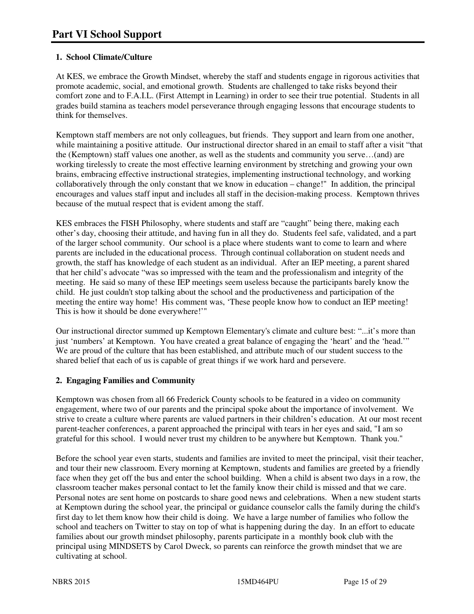## **1. School Climate/Culture**

At KES, we embrace the Growth Mindset, whereby the staff and students engage in rigorous activities that promote academic, social, and emotional growth. Students are challenged to take risks beyond their comfort zone and to F.A.I.L. (First Attempt in Learning) in order to see their true potential. Students in all grades build stamina as teachers model perseverance through engaging lessons that encourage students to think for themselves.

Kemptown staff members are not only colleagues, but friends. They support and learn from one another, while maintaining a positive attitude. Our instructional director shared in an email to staff after a visit "that the (Kemptown) staff values one another, as well as the students and community you serve…(and) are working tirelessly to create the most effective learning environment by stretching and growing your own brains, embracing effective instructional strategies, implementing instructional technology, and working collaboratively through the only constant that we know in education – change!" In addition, the principal encourages and values staff input and includes all staff in the decision-making process. Kemptown thrives because of the mutual respect that is evident among the staff.

KES embraces the FISH Philosophy, where students and staff are "caught" being there, making each other's day, choosing their attitude, and having fun in all they do. Students feel safe, validated, and a part of the larger school community. Our school is a place where students want to come to learn and where parents are included in the educational process. Through continual collaboration on student needs and growth, the staff has knowledge of each student as an individual. After an IEP meeting, a parent shared that her child's advocate "was so impressed with the team and the professionalism and integrity of the meeting. He said so many of these IEP meetings seem useless because the participants barely know the child. He just couldn't stop talking about the school and the productiveness and participation of the meeting the entire way home! His comment was, 'These people know how to conduct an IEP meeting! This is how it should be done everywhere!'"

Our instructional director summed up Kemptown Elementary's climate and culture best: "...it's more than just 'numbers' at Kemptown. You have created a great balance of engaging the 'heart' and the 'head.'" We are proud of the culture that has been established, and attribute much of our student success to the shared belief that each of us is capable of great things if we work hard and persevere.

## **2. Engaging Families and Community**

Kemptown was chosen from all 66 Frederick County schools to be featured in a video on community engagement, where two of our parents and the principal spoke about the importance of involvement. We strive to create a culture where parents are valued partners in their children's education. At our most recent parent-teacher conferences, a parent approached the principal with tears in her eyes and said, "I am so grateful for this school. I would never trust my children to be anywhere but Kemptown. Thank you."

Before the school year even starts, students and families are invited to meet the principal, visit their teacher, and tour their new classroom. Every morning at Kemptown, students and families are greeted by a friendly face when they get off the bus and enter the school building. When a child is absent two days in a row, the classroom teacher makes personal contact to let the family know their child is missed and that we care. Personal notes are sent home on postcards to share good news and celebrations. When a new student starts at Kemptown during the school year, the principal or guidance counselor calls the family during the child's first day to let them know how their child is doing. We have a large number of families who follow the school and teachers on Twitter to stay on top of what is happening during the day. In an effort to educate families about our growth mindset philosophy, parents participate in a monthly book club with the principal using MINDSETS by Carol Dweck, so parents can reinforce the growth mindset that we are cultivating at school.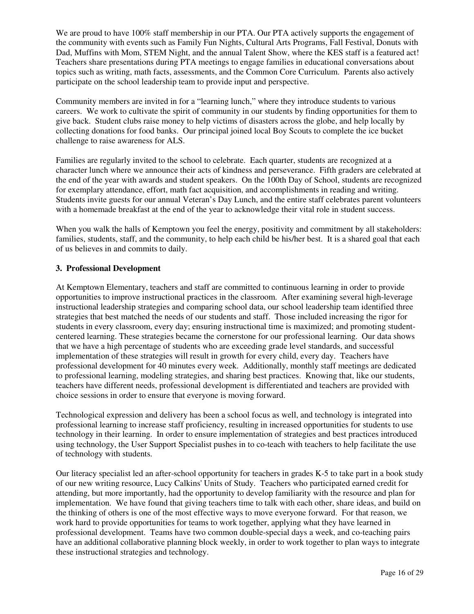We are proud to have 100% staff membership in our PTA. Our PTA actively supports the engagement of the community with events such as Family Fun Nights, Cultural Arts Programs, Fall Festival, Donuts with Dad, Muffins with Mom, STEM Night, and the annual Talent Show, where the KES staff is a featured act! Teachers share presentations during PTA meetings to engage families in educational conversations about topics such as writing, math facts, assessments, and the Common Core Curriculum. Parents also actively participate on the school leadership team to provide input and perspective.

Community members are invited in for a "learning lunch," where they introduce students to various careers. We work to cultivate the spirit of community in our students by finding opportunities for them to give back. Student clubs raise money to help victims of disasters across the globe, and help locally by collecting donations for food banks. Our principal joined local Boy Scouts to complete the ice bucket challenge to raise awareness for ALS.

Families are regularly invited to the school to celebrate. Each quarter, students are recognized at a character lunch where we announce their acts of kindness and perseverance. Fifth graders are celebrated at the end of the year with awards and student speakers. On the 100th Day of School, students are recognized for exemplary attendance, effort, math fact acquisition, and accomplishments in reading and writing. Students invite guests for our annual Veteran's Day Lunch, and the entire staff celebrates parent volunteers with a homemade breakfast at the end of the year to acknowledge their vital role in student success.

When you walk the halls of Kemptown you feel the energy, positivity and commitment by all stakeholders: families, students, staff, and the community, to help each child be his/her best. It is a shared goal that each of us believes in and commits to daily.

#### **3. Professional Development**

At Kemptown Elementary, teachers and staff are committed to continuous learning in order to provide opportunities to improve instructional practices in the classroom. After examining several high-leverage instructional leadership strategies and comparing school data, our school leadership team identified three strategies that best matched the needs of our students and staff. Those included increasing the rigor for students in every classroom, every day; ensuring instructional time is maximized; and promoting studentcentered learning. These strategies became the cornerstone for our professional learning. Our data shows that we have a high percentage of students who are exceeding grade level standards, and successful implementation of these strategies will result in growth for every child, every day. Teachers have professional development for 40 minutes every week. Additionally, monthly staff meetings are dedicated to professional learning, modeling strategies, and sharing best practices. Knowing that, like our students, teachers have different needs, professional development is differentiated and teachers are provided with choice sessions in order to ensure that everyone is moving forward.

Technological expression and delivery has been a school focus as well, and technology is integrated into professional learning to increase staff proficiency, resulting in increased opportunities for students to use technology in their learning. In order to ensure implementation of strategies and best practices introduced using technology, the User Support Specialist pushes in to co-teach with teachers to help facilitate the use of technology with students.

Our literacy specialist led an after-school opportunity for teachers in grades K-5 to take part in a book study of our new writing resource, Lucy Calkins' Units of Study. Teachers who participated earned credit for attending, but more importantly, had the opportunity to develop familiarity with the resource and plan for implementation. We have found that giving teachers time to talk with each other, share ideas, and build on the thinking of others is one of the most effective ways to move everyone forward. For that reason, we work hard to provide opportunities for teams to work together, applying what they have learned in professional development. Teams have two common double-special days a week, and co-teaching pairs have an additional collaborative planning block weekly, in order to work together to plan ways to integrate these instructional strategies and technology.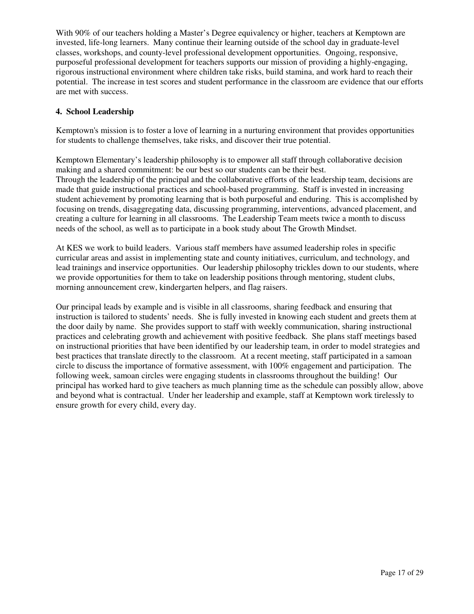With 90% of our teachers holding a Master's Degree equivalency or higher, teachers at Kemptown are invested, life-long learners. Many continue their learning outside of the school day in graduate-level classes, workshops, and county-level professional development opportunities. Ongoing, responsive, purposeful professional development for teachers supports our mission of providing a highly-engaging, rigorous instructional environment where children take risks, build stamina, and work hard to reach their potential. The increase in test scores and student performance in the classroom are evidence that our efforts are met with success.

#### **4. School Leadership**

Kemptown's mission is to foster a love of learning in a nurturing environment that provides opportunities for students to challenge themselves, take risks, and discover their true potential.

Kemptown Elementary's leadership philosophy is to empower all staff through collaborative decision making and a shared commitment: be our best so our students can be their best. Through the leadership of the principal and the collaborative efforts of the leadership team, decisions are made that guide instructional practices and school-based programming. Staff is invested in increasing student achievement by promoting learning that is both purposeful and enduring. This is accomplished by focusing on trends, disaggregating data, discussing programming, interventions, advanced placement, and creating a culture for learning in all classrooms. The Leadership Team meets twice a month to discuss needs of the school, as well as to participate in a book study about The Growth Mindset.

At KES we work to build leaders. Various staff members have assumed leadership roles in specific curricular areas and assist in implementing state and county initiatives, curriculum, and technology, and lead trainings and inservice opportunities. Our leadership philosophy trickles down to our students, where we provide opportunities for them to take on leadership positions through mentoring, student clubs, morning announcement crew, kindergarten helpers, and flag raisers.

Our principal leads by example and is visible in all classrooms, sharing feedback and ensuring that instruction is tailored to students' needs. She is fully invested in knowing each student and greets them at the door daily by name. She provides support to staff with weekly communication, sharing instructional practices and celebrating growth and achievement with positive feedback. She plans staff meetings based on instructional priorities that have been identified by our leadership team, in order to model strategies and best practices that translate directly to the classroom. At a recent meeting, staff participated in a samoan circle to discuss the importance of formative assessment, with 100% engagement and participation. The following week, samoan circles were engaging students in classrooms throughout the building! Our principal has worked hard to give teachers as much planning time as the schedule can possibly allow, above and beyond what is contractual. Under her leadership and example, staff at Kemptown work tirelessly to ensure growth for every child, every day.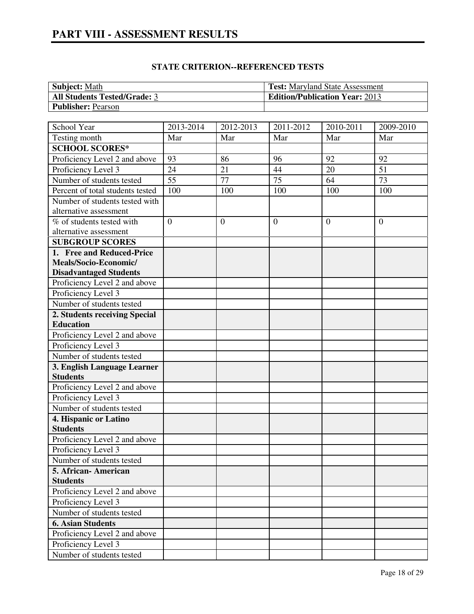| <b>Subject:</b> Math                | <b>Test:</b> Maryland State Assessment |
|-------------------------------------|----------------------------------------|
| <b>All Students Tested/Grade: 3</b> | <b>Edition/Publication Year: 2013</b>  |
| <b>Publisher: Pearson</b>           |                                        |

| School Year                                          | 2013-2014       | 2012-2013      | 2011-2012       | 2010-2011 | 2009-2010       |
|------------------------------------------------------|-----------------|----------------|-----------------|-----------|-----------------|
| Testing month                                        | Mar             | Mar            | Mar             | Mar       | Mar             |
| <b>SCHOOL SCORES*</b>                                |                 |                |                 |           |                 |
| Proficiency Level 2 and above                        | 93              | 86             | 96              | 92        | 92              |
| Proficiency Level 3                                  | 24              | 21             | 44              | 20        | $\overline{51}$ |
| Number of students tested                            | $\overline{55}$ | 77             | $\overline{75}$ | 64        | $\overline{73}$ |
| Percent of total students tested                     | 100             | 100            | 100             | 100       | 100             |
| Number of students tested with                       |                 |                |                 |           |                 |
| alternative assessment                               |                 |                |                 |           |                 |
| $\overline{\%}$ of students tested with              | $\overline{0}$  | $\overline{0}$ | $\overline{0}$  | $\theta$  | $\overline{0}$  |
| alternative assessment                               |                 |                |                 |           |                 |
| <b>SUBGROUP SCORES</b>                               |                 |                |                 |           |                 |
| 1. Free and Reduced-Price                            |                 |                |                 |           |                 |
| Meals/Socio-Economic/                                |                 |                |                 |           |                 |
| <b>Disadvantaged Students</b>                        |                 |                |                 |           |                 |
| Proficiency Level 2 and above                        |                 |                |                 |           |                 |
| Proficiency Level 3                                  |                 |                |                 |           |                 |
| Number of students tested                            |                 |                |                 |           |                 |
| 2. Students receiving Special                        |                 |                |                 |           |                 |
| <b>Education</b>                                     |                 |                |                 |           |                 |
| Proficiency Level 2 and above                        |                 |                |                 |           |                 |
| Proficiency Level 3                                  |                 |                |                 |           |                 |
| Number of students tested                            |                 |                |                 |           |                 |
| 3. English Language Learner                          |                 |                |                 |           |                 |
| <b>Students</b>                                      |                 |                |                 |           |                 |
| Proficiency Level 2 and above                        |                 |                |                 |           |                 |
| Proficiency Level 3                                  |                 |                |                 |           |                 |
| Number of students tested                            |                 |                |                 |           |                 |
| 4. Hispanic or Latino                                |                 |                |                 |           |                 |
| <b>Students</b>                                      |                 |                |                 |           |                 |
| Proficiency Level 2 and above                        |                 |                |                 |           |                 |
| Proficiency Level 3                                  |                 |                |                 |           |                 |
| Number of students tested                            |                 |                |                 |           |                 |
| 5. African-American<br><b>Students</b>               |                 |                |                 |           |                 |
|                                                      |                 |                |                 |           |                 |
| Proficiency Level 2 and above<br>Proficiency Level 3 |                 |                |                 |           |                 |
| Number of students tested                            |                 |                |                 |           |                 |
| <b>6. Asian Students</b>                             |                 |                |                 |           |                 |
|                                                      |                 |                |                 |           |                 |
| Proficiency Level 2 and above                        |                 |                |                 |           |                 |
| Proficiency Level 3                                  |                 |                |                 |           |                 |
| Number of students tested                            |                 |                |                 |           |                 |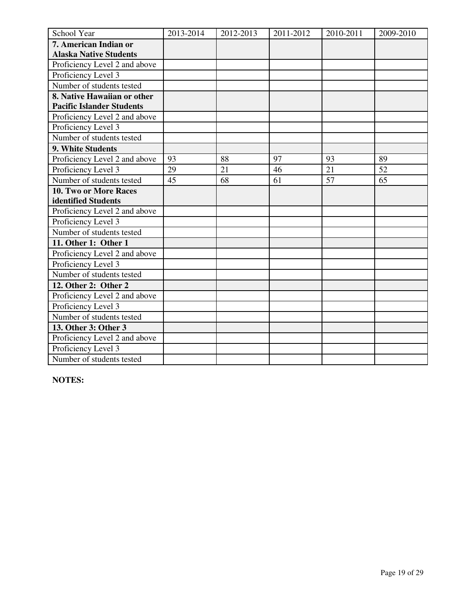| School Year                      | 2013-2014 | 2012-2013 | 2011-2012 | 2010-2011 | 2009-2010 |
|----------------------------------|-----------|-----------|-----------|-----------|-----------|
| 7. American Indian or            |           |           |           |           |           |
| <b>Alaska Native Students</b>    |           |           |           |           |           |
| Proficiency Level 2 and above    |           |           |           |           |           |
| Proficiency Level 3              |           |           |           |           |           |
| Number of students tested        |           |           |           |           |           |
| 8. Native Hawaiian or other      |           |           |           |           |           |
| <b>Pacific Islander Students</b> |           |           |           |           |           |
| Proficiency Level 2 and above    |           |           |           |           |           |
| Proficiency Level 3              |           |           |           |           |           |
| Number of students tested        |           |           |           |           |           |
| 9. White Students                |           |           |           |           |           |
| Proficiency Level 2 and above    | 93        | 88        | 97        | 93        | 89        |
| Proficiency Level 3              | 29        | 21        | 46        | 21        | 52        |
| Number of students tested        | 45        | 68        | 61        | 57        | 65        |
| <b>10. Two or More Races</b>     |           |           |           |           |           |
| identified Students              |           |           |           |           |           |
| Proficiency Level 2 and above    |           |           |           |           |           |
| Proficiency Level 3              |           |           |           |           |           |
| Number of students tested        |           |           |           |           |           |
| 11. Other 1: Other 1             |           |           |           |           |           |
| Proficiency Level 2 and above    |           |           |           |           |           |
| Proficiency Level 3              |           |           |           |           |           |
| Number of students tested        |           |           |           |           |           |
| 12. Other 2: Other 2             |           |           |           |           |           |
| Proficiency Level 2 and above    |           |           |           |           |           |
| Proficiency Level 3              |           |           |           |           |           |
| Number of students tested        |           |           |           |           |           |
| 13. Other 3: Other 3             |           |           |           |           |           |
| Proficiency Level 2 and above    |           |           |           |           |           |
| Proficiency Level 3              |           |           |           |           |           |
| Number of students tested        |           |           |           |           |           |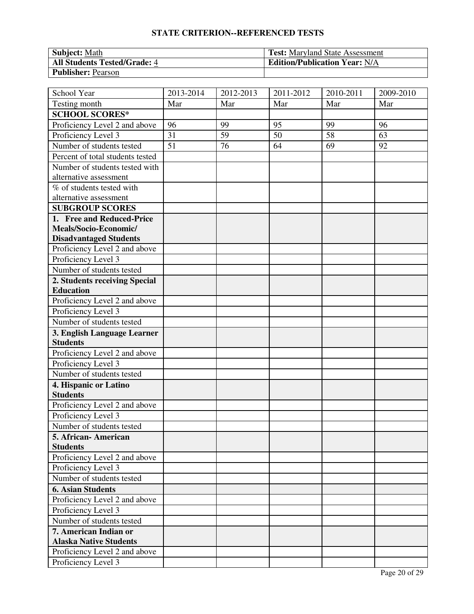| <b>Subject:</b> Math                | <b>Test:</b> Maryland State Assessment |
|-------------------------------------|----------------------------------------|
| <b>All Students Tested/Grade: 4</b> | <b>Edition/Publication Year: N/A</b>   |
| <b>Publisher: Pearson</b>           |                                        |

| School Year                      | 2013-2014 | 2012-2013 | 2011-2012 | 2010-2011 | 2009-2010 |
|----------------------------------|-----------|-----------|-----------|-----------|-----------|
| Testing month                    | Mar       | Mar       | Mar       | Mar       | Mar       |
| <b>SCHOOL SCORES*</b>            |           |           |           |           |           |
| Proficiency Level 2 and above    | 96        | 99        | 95        | 99        | 96        |
| Proficiency Level 3              | 31        | 59        | 50        | 58        | 63        |
| Number of students tested        | 51        | 76        | 64        | 69        | 92        |
| Percent of total students tested |           |           |           |           |           |
| Number of students tested with   |           |           |           |           |           |
| alternative assessment           |           |           |           |           |           |
| % of students tested with        |           |           |           |           |           |
| alternative assessment           |           |           |           |           |           |
| <b>SUBGROUP SCORES</b>           |           |           |           |           |           |
| 1. Free and Reduced-Price        |           |           |           |           |           |
| Meals/Socio-Economic/            |           |           |           |           |           |
| <b>Disadvantaged Students</b>    |           |           |           |           |           |
| Proficiency Level 2 and above    |           |           |           |           |           |
| Proficiency Level 3              |           |           |           |           |           |
| Number of students tested        |           |           |           |           |           |
| 2. Students receiving Special    |           |           |           |           |           |
| <b>Education</b>                 |           |           |           |           |           |
| Proficiency Level 2 and above    |           |           |           |           |           |
| Proficiency Level 3              |           |           |           |           |           |
| Number of students tested        |           |           |           |           |           |
| 3. English Language Learner      |           |           |           |           |           |
| <b>Students</b>                  |           |           |           |           |           |
| Proficiency Level 2 and above    |           |           |           |           |           |
| Proficiency Level 3              |           |           |           |           |           |
| Number of students tested        |           |           |           |           |           |
| 4. Hispanic or Latino            |           |           |           |           |           |
| <b>Students</b>                  |           |           |           |           |           |
| Proficiency Level 2 and above    |           |           |           |           |           |
| Proficiency Level 3              |           |           |           |           |           |
| Number of students tested        |           |           |           |           |           |
| 5. African-American              |           |           |           |           |           |
| <b>Students</b>                  |           |           |           |           |           |
| Proficiency Level 2 and above    |           |           |           |           |           |
| Proficiency Level 3              |           |           |           |           |           |
| Number of students tested        |           |           |           |           |           |
| <b>6. Asian Students</b>         |           |           |           |           |           |
| Proficiency Level 2 and above    |           |           |           |           |           |
| Proficiency Level 3              |           |           |           |           |           |
| Number of students tested        |           |           |           |           |           |
| 7. American Indian or            |           |           |           |           |           |
| <b>Alaska Native Students</b>    |           |           |           |           |           |
| Proficiency Level 2 and above    |           |           |           |           |           |
| Proficiency Level 3              |           |           |           |           |           |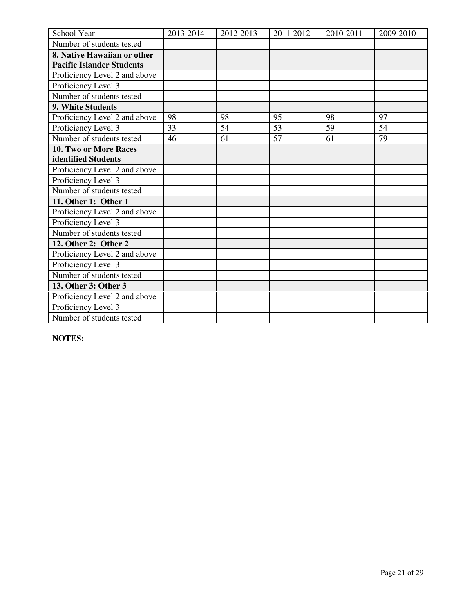| School Year                      | 2013-2014 | 2012-2013 | 2011-2012 | 2010-2011 | 2009-2010 |
|----------------------------------|-----------|-----------|-----------|-----------|-----------|
| Number of students tested        |           |           |           |           |           |
| 8. Native Hawaiian or other      |           |           |           |           |           |
| <b>Pacific Islander Students</b> |           |           |           |           |           |
| Proficiency Level 2 and above    |           |           |           |           |           |
| Proficiency Level 3              |           |           |           |           |           |
| Number of students tested        |           |           |           |           |           |
| 9. White Students                |           |           |           |           |           |
| Proficiency Level 2 and above    | 98        | 98        | 95        | 98        | 97        |
| Proficiency Level 3              | 33        | 54        | 53        | 59        | 54        |
| Number of students tested        | 46        | 61        | 57        | 61        | 79        |
| <b>10. Two or More Races</b>     |           |           |           |           |           |
| identified Students              |           |           |           |           |           |
| Proficiency Level 2 and above    |           |           |           |           |           |
| Proficiency Level 3              |           |           |           |           |           |
| Number of students tested        |           |           |           |           |           |
| 11. Other 1: Other 1             |           |           |           |           |           |
| Proficiency Level 2 and above    |           |           |           |           |           |
| Proficiency Level 3              |           |           |           |           |           |
| Number of students tested        |           |           |           |           |           |
| 12. Other 2: Other 2             |           |           |           |           |           |
| Proficiency Level 2 and above    |           |           |           |           |           |
| Proficiency Level 3              |           |           |           |           |           |
| Number of students tested        |           |           |           |           |           |
| 13. Other 3: Other 3             |           |           |           |           |           |
| Proficiency Level 2 and above    |           |           |           |           |           |
| Proficiency Level 3              |           |           |           |           |           |
| Number of students tested        |           |           |           |           |           |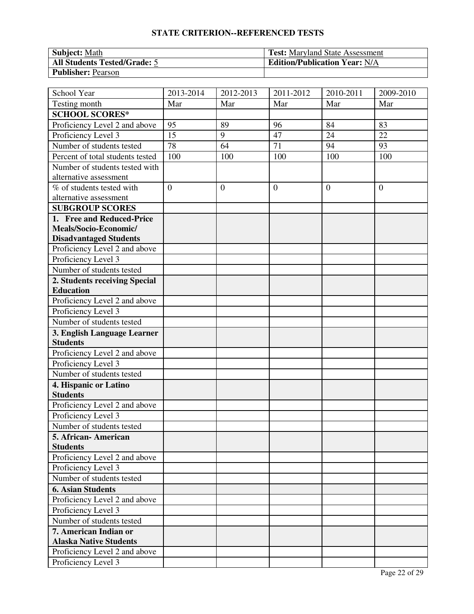| <b>Subject:</b> Math                | <b>Test:</b> Maryland State Assessment |
|-------------------------------------|----------------------------------------|
| <b>All Students Tested/Grade: 5</b> | <b>Edition/Publication Year: N/A</b>   |
| <b>Publisher: Pearson</b>           |                                        |

| School Year                                          | 2013-2014      | 2012-2013      | 2011-2012      | 2010-2011      | 2009-2010      |
|------------------------------------------------------|----------------|----------------|----------------|----------------|----------------|
| Testing month                                        | Mar            | Mar            | Mar            | Mar            | Mar            |
| <b>SCHOOL SCORES*</b>                                |                |                |                |                |                |
| Proficiency Level 2 and above                        | 95             | 89             | 96             | 84             | 83             |
| Proficiency Level 3                                  | 15             | 9              | 47             | 24             | 22             |
| Number of students tested                            | 78             | 64             | 71             | 94             | 93             |
| Percent of total students tested                     | 100            | 100            | 100            | 100            | 100            |
| Number of students tested with                       |                |                |                |                |                |
| alternative assessment                               |                |                |                |                |                |
| % of students tested with                            | $\overline{0}$ | $\overline{0}$ | $\overline{0}$ | $\overline{0}$ | $\overline{0}$ |
| alternative assessment                               |                |                |                |                |                |
| <b>SUBGROUP SCORES</b>                               |                |                |                |                |                |
| 1. Free and Reduced-Price                            |                |                |                |                |                |
| Meals/Socio-Economic/                                |                |                |                |                |                |
| <b>Disadvantaged Students</b>                        |                |                |                |                |                |
| Proficiency Level 2 and above                        |                |                |                |                |                |
| Proficiency Level 3                                  |                |                |                |                |                |
| Number of students tested                            |                |                |                |                |                |
| 2. Students receiving Special                        |                |                |                |                |                |
| <b>Education</b>                                     |                |                |                |                |                |
| Proficiency Level 2 and above                        |                |                |                |                |                |
| Proficiency Level 3                                  |                |                |                |                |                |
| Number of students tested                            |                |                |                |                |                |
| 3. English Language Learner                          |                |                |                |                |                |
| <b>Students</b>                                      |                |                |                |                |                |
| Proficiency Level 2 and above                        |                |                |                |                |                |
| Proficiency Level 3                                  |                |                |                |                |                |
| Number of students tested                            |                |                |                |                |                |
| 4. Hispanic or Latino<br><b>Students</b>             |                |                |                |                |                |
|                                                      |                |                |                |                |                |
| Proficiency Level 2 and above<br>Proficiency Level 3 |                |                |                |                |                |
| Number of students tested                            |                |                |                |                |                |
| 5. African- American                                 |                |                |                |                |                |
| <b>Students</b>                                      |                |                |                |                |                |
| Proficiency Level 2 and above                        |                |                |                |                |                |
| Proficiency Level 3                                  |                |                |                |                |                |
| Number of students tested                            |                |                |                |                |                |
| <b>6. Asian Students</b>                             |                |                |                |                |                |
| Proficiency Level 2 and above                        |                |                |                |                |                |
| Proficiency Level 3                                  |                |                |                |                |                |
| Number of students tested                            |                |                |                |                |                |
| 7. American Indian or                                |                |                |                |                |                |
| <b>Alaska Native Students</b>                        |                |                |                |                |                |
| Proficiency Level 2 and above                        |                |                |                |                |                |
| Proficiency Level 3                                  |                |                |                |                |                |
|                                                      |                |                |                |                |                |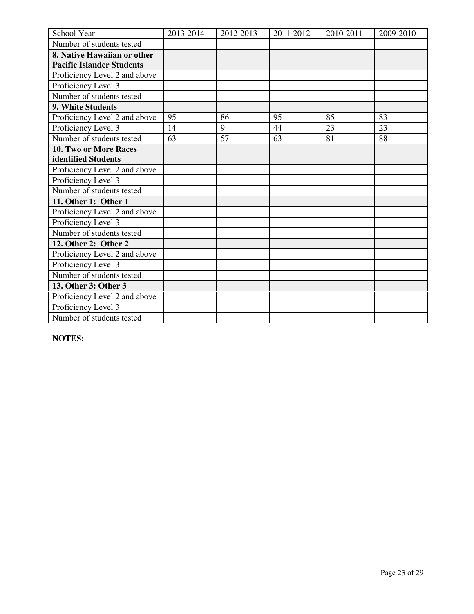| School Year                      | 2013-2014 | 2012-2013 | 2011-2012 | 2010-2011 | 2009-2010 |
|----------------------------------|-----------|-----------|-----------|-----------|-----------|
| Number of students tested        |           |           |           |           |           |
| 8. Native Hawaiian or other      |           |           |           |           |           |
| <b>Pacific Islander Students</b> |           |           |           |           |           |
| Proficiency Level 2 and above    |           |           |           |           |           |
| Proficiency Level 3              |           |           |           |           |           |
| Number of students tested        |           |           |           |           |           |
| 9. White Students                |           |           |           |           |           |
| Proficiency Level 2 and above    | 95        | 86        | 95        | 85        | 83        |
| Proficiency Level 3              | 14        | 9         | 44        | 23        | 23        |
| Number of students tested        | 63        | 57        | 63        | 81        | 88        |
| 10. Two or More Races            |           |           |           |           |           |
| identified Students              |           |           |           |           |           |
| Proficiency Level 2 and above    |           |           |           |           |           |
| Proficiency Level 3              |           |           |           |           |           |
| Number of students tested        |           |           |           |           |           |
| 11. Other 1: Other 1             |           |           |           |           |           |
| Proficiency Level 2 and above    |           |           |           |           |           |
| Proficiency Level 3              |           |           |           |           |           |
| Number of students tested        |           |           |           |           |           |
| 12. Other 2: Other 2             |           |           |           |           |           |
| Proficiency Level 2 and above    |           |           |           |           |           |
| Proficiency Level 3              |           |           |           |           |           |
| Number of students tested        |           |           |           |           |           |
| 13. Other 3: Other 3             |           |           |           |           |           |
| Proficiency Level 2 and above    |           |           |           |           |           |
| Proficiency Level 3              |           |           |           |           |           |
| Number of students tested        |           |           |           |           |           |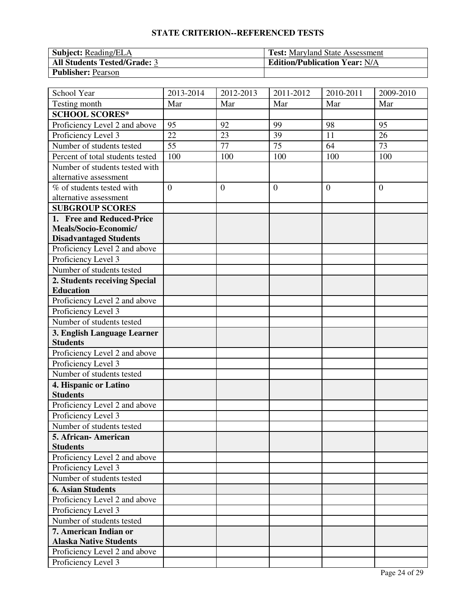| <b>Subject:</b> Reading/ELA         | <b>Test:</b> Maryland State Assessment |
|-------------------------------------|----------------------------------------|
| <b>All Students Tested/Grade: 3</b> | <b>Edition/Publication Year: N/A</b>   |
| <b>Publisher: Pearson</b>           |                                        |

| School Year                      | 2013-2014      | 2012-2013    | 2011-2012       | 2010-2011 | 2009-2010      |
|----------------------------------|----------------|--------------|-----------------|-----------|----------------|
| Testing month                    | Mar            | Mar          | Mar             | Mar       | Mar            |
| <b>SCHOOL SCORES*</b>            |                |              |                 |           |                |
| Proficiency Level 2 and above    | 95             | 92           | 99              | 98        | 95             |
| Proficiency Level 3              | 22             | 23           | 39              | 11        | 26             |
| Number of students tested        | 55             | 77           | $\overline{75}$ | 64        | 73             |
| Percent of total students tested | 100            | 100          | 100             | 100       | 100            |
| Number of students tested with   |                |              |                 |           |                |
| alternative assessment           |                |              |                 |           |                |
| % of students tested with        | $\overline{0}$ | $\mathbf{0}$ | $\overline{0}$  | $\theta$  | $\overline{0}$ |
| alternative assessment           |                |              |                 |           |                |
| <b>SUBGROUP SCORES</b>           |                |              |                 |           |                |
| 1. Free and Reduced-Price        |                |              |                 |           |                |
| Meals/Socio-Economic/            |                |              |                 |           |                |
| <b>Disadvantaged Students</b>    |                |              |                 |           |                |
| Proficiency Level 2 and above    |                |              |                 |           |                |
| Proficiency Level 3              |                |              |                 |           |                |
| Number of students tested        |                |              |                 |           |                |
| 2. Students receiving Special    |                |              |                 |           |                |
| <b>Education</b>                 |                |              |                 |           |                |
| Proficiency Level 2 and above    |                |              |                 |           |                |
| Proficiency Level 3              |                |              |                 |           |                |
| Number of students tested        |                |              |                 |           |                |
| 3. English Language Learner      |                |              |                 |           |                |
| <b>Students</b>                  |                |              |                 |           |                |
| Proficiency Level 2 and above    |                |              |                 |           |                |
| Proficiency Level 3              |                |              |                 |           |                |
| Number of students tested        |                |              |                 |           |                |
| 4. Hispanic or Latino            |                |              |                 |           |                |
| <b>Students</b>                  |                |              |                 |           |                |
| Proficiency Level 2 and above    |                |              |                 |           |                |
| Proficiency Level 3              |                |              |                 |           |                |
| Number of students tested        |                |              |                 |           |                |
| 5. African-American              |                |              |                 |           |                |
| <b>Students</b>                  |                |              |                 |           |                |
| Proficiency Level 2 and above    |                |              |                 |           |                |
| Proficiency Level 3              |                |              |                 |           |                |
| Number of students tested        |                |              |                 |           |                |
| <b>6. Asian Students</b>         |                |              |                 |           |                |
| Proficiency Level 2 and above    |                |              |                 |           |                |
| Proficiency Level 3              |                |              |                 |           |                |
| Number of students tested        |                |              |                 |           |                |
| 7. American Indian or            |                |              |                 |           |                |
| <b>Alaska Native Students</b>    |                |              |                 |           |                |
| Proficiency Level 2 and above    |                |              |                 |           |                |
| Proficiency Level 3              |                |              |                 |           |                |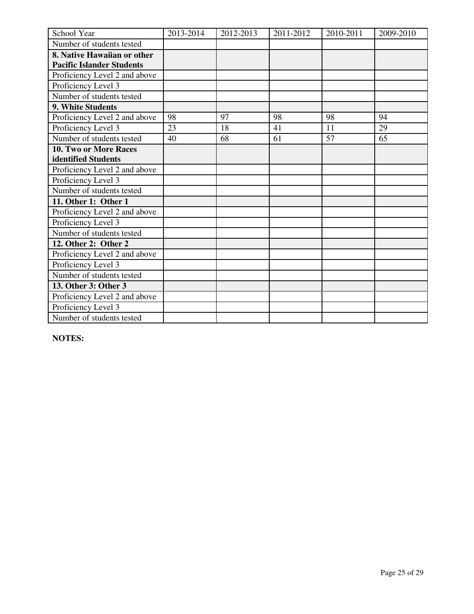| School Year                      | 2013-2014 | 2012-2013 | 2011-2012 | 2010-2011 | 2009-2010 |
|----------------------------------|-----------|-----------|-----------|-----------|-----------|
| Number of students tested        |           |           |           |           |           |
| 8. Native Hawaiian or other      |           |           |           |           |           |
| <b>Pacific Islander Students</b> |           |           |           |           |           |
| Proficiency Level 2 and above    |           |           |           |           |           |
| Proficiency Level 3              |           |           |           |           |           |
| Number of students tested        |           |           |           |           |           |
| 9. White Students                |           |           |           |           |           |
| Proficiency Level 2 and above    | 98        | 97        | 98        | 98        | 94        |
| Proficiency Level 3              | 23        | 18        | 41        | 11        | 29        |
| Number of students tested        | 40        | 68        | 61        | 57        | 65        |
| <b>10. Two or More Races</b>     |           |           |           |           |           |
| identified Students              |           |           |           |           |           |
| Proficiency Level 2 and above    |           |           |           |           |           |
| Proficiency Level 3              |           |           |           |           |           |
| Number of students tested        |           |           |           |           |           |
| 11. Other 1: Other 1             |           |           |           |           |           |
| Proficiency Level 2 and above    |           |           |           |           |           |
| Proficiency Level 3              |           |           |           |           |           |
| Number of students tested        |           |           |           |           |           |
| 12. Other 2: Other 2             |           |           |           |           |           |
| Proficiency Level 2 and above    |           |           |           |           |           |
| Proficiency Level 3              |           |           |           |           |           |
| Number of students tested        |           |           |           |           |           |
| 13. Other 3: Other 3             |           |           |           |           |           |
| Proficiency Level 2 and above    |           |           |           |           |           |
| Proficiency Level 3              |           |           |           |           |           |
| Number of students tested        |           |           |           |           |           |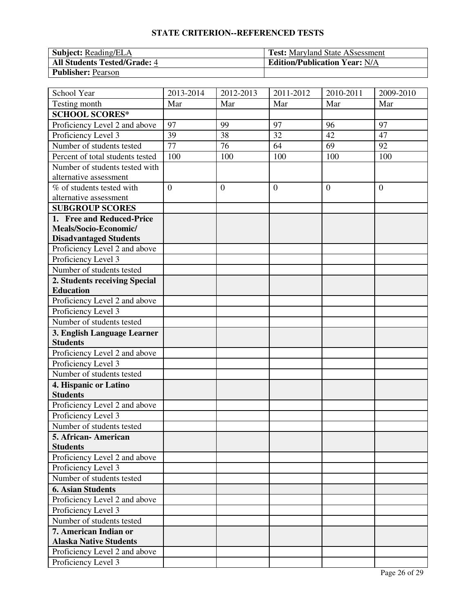| <b>Subject: Reading/ELA</b>         | <b>Test:</b> Maryland State ASsessment |
|-------------------------------------|----------------------------------------|
| <b>All Students Tested/Grade: 4</b> | <b>Edition/Publication Year: N/A</b>   |
| <b>Publisher: Pearson</b>           |                                        |

| School Year                                          | 2013-2014       | 2012-2013    | 2011-2012      | 2010-2011 | 2009-2010      |
|------------------------------------------------------|-----------------|--------------|----------------|-----------|----------------|
| Testing month                                        | Mar             | Mar          | Mar            | Mar       | Mar            |
| <b>SCHOOL SCORES*</b>                                |                 |              |                |           |                |
| Proficiency Level 2 and above                        | 97              | 99           | 97             | 96        | 97             |
| Proficiency Level 3                                  | 39              | 38           | 32             | 42        | 47             |
| Number of students tested                            | $\overline{77}$ | 76           | 64             | 69        | 92             |
| Percent of total students tested                     | 100             | 100          | 100            | 100       | 100            |
| Number of students tested with                       |                 |              |                |           |                |
| alternative assessment                               |                 |              |                |           |                |
| % of students tested with                            | $\overline{0}$  | $\mathbf{0}$ | $\overline{0}$ | $\theta$  | $\overline{0}$ |
| alternative assessment                               |                 |              |                |           |                |
| <b>SUBGROUP SCORES</b>                               |                 |              |                |           |                |
| 1. Free and Reduced-Price                            |                 |              |                |           |                |
| Meals/Socio-Economic/                                |                 |              |                |           |                |
| <b>Disadvantaged Students</b>                        |                 |              |                |           |                |
| Proficiency Level 2 and above                        |                 |              |                |           |                |
| Proficiency Level 3                                  |                 |              |                |           |                |
| Number of students tested                            |                 |              |                |           |                |
| 2. Students receiving Special                        |                 |              |                |           |                |
| <b>Education</b>                                     |                 |              |                |           |                |
| Proficiency Level 2 and above                        |                 |              |                |           |                |
| Proficiency Level 3                                  |                 |              |                |           |                |
| Number of students tested                            |                 |              |                |           |                |
| 3. English Language Learner                          |                 |              |                |           |                |
| <b>Students</b>                                      |                 |              |                |           |                |
| Proficiency Level 2 and above                        |                 |              |                |           |                |
| Proficiency Level 3                                  |                 |              |                |           |                |
| Number of students tested                            |                 |              |                |           |                |
| 4. Hispanic or Latino                                |                 |              |                |           |                |
| <b>Students</b>                                      |                 |              |                |           |                |
| Proficiency Level 2 and above                        |                 |              |                |           |                |
| Proficiency Level 3                                  |                 |              |                |           |                |
| Number of students tested                            |                 |              |                |           |                |
| 5. African-American                                  |                 |              |                |           |                |
| <b>Students</b>                                      |                 |              |                |           |                |
| Proficiency Level 2 and above                        |                 |              |                |           |                |
| Proficiency Level 3<br>Number of students tested     |                 |              |                |           |                |
| <b>6. Asian Students</b>                             |                 |              |                |           |                |
|                                                      |                 |              |                |           |                |
| Proficiency Level 2 and above                        |                 |              |                |           |                |
| Proficiency Level 3                                  |                 |              |                |           |                |
| Number of students tested                            |                 |              |                |           |                |
| 7. American Indian or                                |                 |              |                |           |                |
| <b>Alaska Native Students</b>                        |                 |              |                |           |                |
| Proficiency Level 2 and above<br>Proficiency Level 3 |                 |              |                |           |                |
|                                                      |                 |              |                |           |                |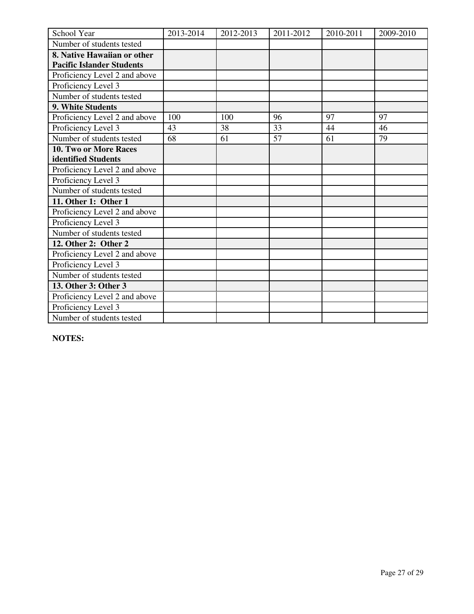| School Year                      | 2013-2014 | 2012-2013 | 2011-2012 | 2010-2011 | 2009-2010 |
|----------------------------------|-----------|-----------|-----------|-----------|-----------|
| Number of students tested        |           |           |           |           |           |
| 8. Native Hawaiian or other      |           |           |           |           |           |
| <b>Pacific Islander Students</b> |           |           |           |           |           |
| Proficiency Level 2 and above    |           |           |           |           |           |
| Proficiency Level 3              |           |           |           |           |           |
| Number of students tested        |           |           |           |           |           |
| 9. White Students                |           |           |           |           |           |
| Proficiency Level 2 and above    | 100       | 100       | 96        | 97        | 97        |
| Proficiency Level 3              | 43        | 38        | 33        | 44        | 46        |
| Number of students tested        | 68        | 61        | 57        | 61        | 79        |
| <b>10. Two or More Races</b>     |           |           |           |           |           |
| identified Students              |           |           |           |           |           |
| Proficiency Level 2 and above    |           |           |           |           |           |
| Proficiency Level 3              |           |           |           |           |           |
| Number of students tested        |           |           |           |           |           |
| 11. Other 1: Other 1             |           |           |           |           |           |
| Proficiency Level 2 and above    |           |           |           |           |           |
| Proficiency Level 3              |           |           |           |           |           |
| Number of students tested        |           |           |           |           |           |
| 12. Other 2: Other 2             |           |           |           |           |           |
| Proficiency Level 2 and above    |           |           |           |           |           |
| Proficiency Level 3              |           |           |           |           |           |
| Number of students tested        |           |           |           |           |           |
| 13. Other 3: Other 3             |           |           |           |           |           |
| Proficiency Level 2 and above    |           |           |           |           |           |
| Proficiency Level 3              |           |           |           |           |           |
| Number of students tested        |           |           |           |           |           |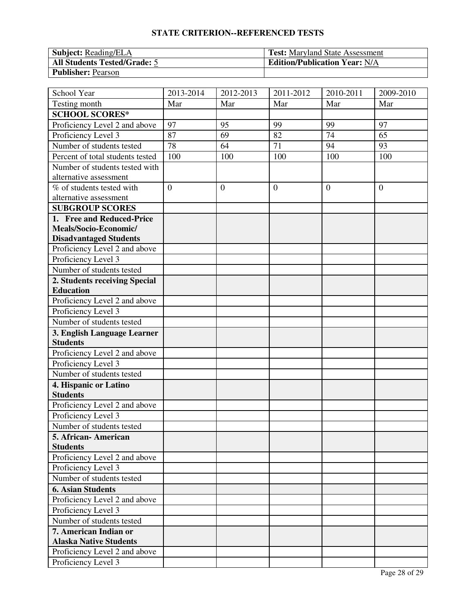| <b>Subject: Reading/ELA</b>         | <b>Test:</b> Maryland State Assessment |
|-------------------------------------|----------------------------------------|
| <b>All Students Tested/Grade: 5</b> | <b>Edition/Publication Year: N/A</b>   |
| <b>Publisher: Pearson</b>           |                                        |

| School Year                      | 2013-2014      | 2012-2013    | 2011-2012      | 2010-2011 | 2009-2010      |
|----------------------------------|----------------|--------------|----------------|-----------|----------------|
| Testing month                    | Mar            | Mar          | Mar            | Mar       | Mar            |
| <b>SCHOOL SCORES*</b>            |                |              |                |           |                |
| Proficiency Level 2 and above    | 97             | 95           | 99             | 99        | 97             |
| Proficiency Level 3              | 87             | 69           | 82             | 74        | 65             |
| Number of students tested        | 78             | 64           | 71             | 94        | 93             |
| Percent of total students tested | 100            | 100          | 100            | 100       | 100            |
| Number of students tested with   |                |              |                |           |                |
| alternative assessment           |                |              |                |           |                |
| % of students tested with        | $\overline{0}$ | $\mathbf{0}$ | $\overline{0}$ | $\theta$  | $\overline{0}$ |
| alternative assessment           |                |              |                |           |                |
| <b>SUBGROUP SCORES</b>           |                |              |                |           |                |
| 1. Free and Reduced-Price        |                |              |                |           |                |
| Meals/Socio-Economic/            |                |              |                |           |                |
| <b>Disadvantaged Students</b>    |                |              |                |           |                |
| Proficiency Level 2 and above    |                |              |                |           |                |
| Proficiency Level 3              |                |              |                |           |                |
| Number of students tested        |                |              |                |           |                |
| 2. Students receiving Special    |                |              |                |           |                |
| <b>Education</b>                 |                |              |                |           |                |
| Proficiency Level 2 and above    |                |              |                |           |                |
| Proficiency Level 3              |                |              |                |           |                |
| Number of students tested        |                |              |                |           |                |
| 3. English Language Learner      |                |              |                |           |                |
| <b>Students</b>                  |                |              |                |           |                |
| Proficiency Level 2 and above    |                |              |                |           |                |
| Proficiency Level 3              |                |              |                |           |                |
| Number of students tested        |                |              |                |           |                |
| 4. Hispanic or Latino            |                |              |                |           |                |
| <b>Students</b>                  |                |              |                |           |                |
| Proficiency Level 2 and above    |                |              |                |           |                |
| Proficiency Level 3              |                |              |                |           |                |
| Number of students tested        |                |              |                |           |                |
| 5. African-American              |                |              |                |           |                |
| <b>Students</b>                  |                |              |                |           |                |
| Proficiency Level 2 and above    |                |              |                |           |                |
| Proficiency Level 3              |                |              |                |           |                |
| Number of students tested        |                |              |                |           |                |
| <b>6. Asian Students</b>         |                |              |                |           |                |
| Proficiency Level 2 and above    |                |              |                |           |                |
| Proficiency Level 3              |                |              |                |           |                |
| Number of students tested        |                |              |                |           |                |
| 7. American Indian or            |                |              |                |           |                |
| <b>Alaska Native Students</b>    |                |              |                |           |                |
| Proficiency Level 2 and above    |                |              |                |           |                |
| Proficiency Level 3              |                |              |                |           |                |